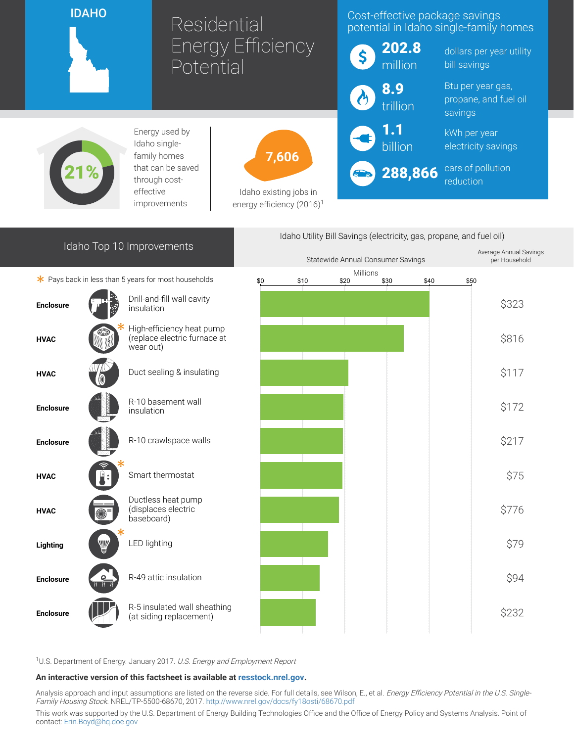

# Residential Energy Efficiency **Potential**

### Cost-effective package savings potential in Idaho single-family homes



dollars per year utility bill savings

Btu per year gas, propane, and fuel oil savings

kWh per year electricity savings

cars of pollution reduction



Energy used by Idaho singlefamily homes that can be saved through costeffective improvements



Idaho existing jobs in energy efficiency  $(2016)^1$ 

## Idaho Top 10 Improvements

 $*$  Pays back in less than 5 years for most households



Enclosure



<sup>1</sup>U.S. Department of Energy. January 2017. U.S. Energy and Employment Report

#### An interactive version of this factsheet is available at [resstock.nrel.gov.](https://resstock.nrel.gov/)

Analysis approach and input assumptions are listed on the reverse side. For full details, see Wilson, E., et al. Energy Efficiency Potential in the U.S. Single-Family Housing Stock. NREL/TP-5500-68670, 2017. <http://www.nrel.gov/docs/fy18osti/68670.pdf>

This work was supported by the U.S. Department of Energy Building Technologies Office and the Office of Energy Policy and Systems Analysis. Point of contact: [Erin.Boyd@hq.doe.gov](mailto:Erin.Boyd@hq.doe.gov)